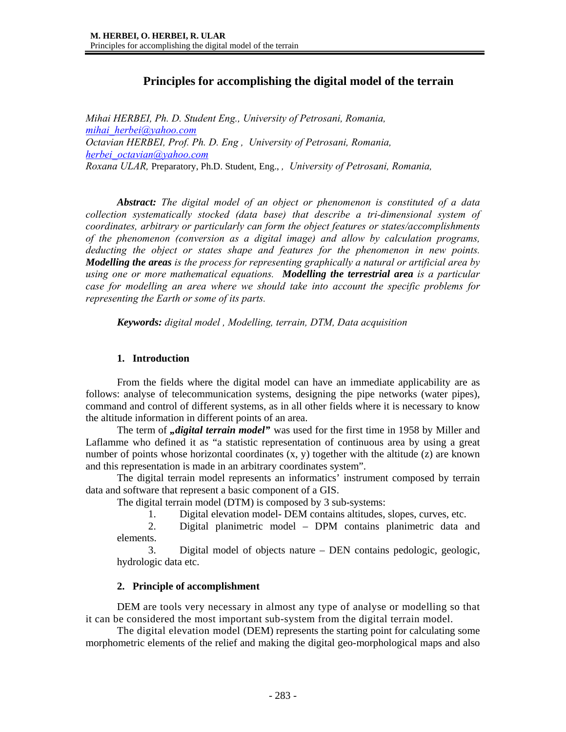# **Principles for accomplishing the digital model of the terrain**

*Mihai HERBEI, Ph. D. Student Eng., University of Petrosani, Romania, mihai\_herbei@yahoo.com Octavian HERBEI, Prof. Ph. D. Eng , University of Petrosani, Romania, herbei\_octavian@yahoo.com Roxana ULAR,* Preparatory, Ph.D. Student, Eng., *, University of Petrosani, Romania,* 

*Abstract: The digital model of an object or phenomenon is constituted of a data collection systematically stocked (data base) that describe a tri-dimensional system of coordinates, arbitrary or particularly can form the object features or states/accomplishments of the phenomenon (conversion as a digital image) and allow by calculation programs, deducting the object or states shape and features for the phenomenon in new points. Modelling the areas is the process for representing graphically a natural or artificial area by using one or more mathematical equations. Modelling the terrestrial area is a particular case for modelling an area where we should take into account the specific problems for representing the Earth or some of its parts.* 

*Keywords: digital model , Modelling, terrain, DTM, Data acquisition* 

## **1. Introduction**

From the fields where the digital model can have an immediate applicability are as follows: analyse of telecommunication systems, designing the pipe networks (water pipes), command and control of different systems, as in all other fields where it is necessary to know the altitude information in different points of an area.

The term of *digital terrain model*" was used for the first time in 1958 by Miller and Laflamme who defined it as "a statistic representation of continuous area by using a great number of points whose horizontal coordinates  $(x, y)$  together with the altitude  $(z)$  are known and this representation is made in an arbitrary coordinates system".

The digital terrain model represents an informatics' instrument composed by terrain data and software that represent a basic component of a GIS.

The digital terrain model (DTM) is composed by 3 sub-systems:

1. Digital elevation model- DEM contains altitudes, slopes, curves, etc.

2. Digital planimetric model – DPM contains planimetric data and elements.

3. Digital model of objects nature – DEN contains pedologic, geologic, hydrologic data etc.

## **2. Principle of accomplishment**

DEM are tools very necessary in almost any type of analyse or modelling so that it can be considered the most important sub-system from the digital terrain model.

The digital elevation model (DEM) represents the starting point for calculating some morphometric elements of the relief and making the digital geo-morphological maps and also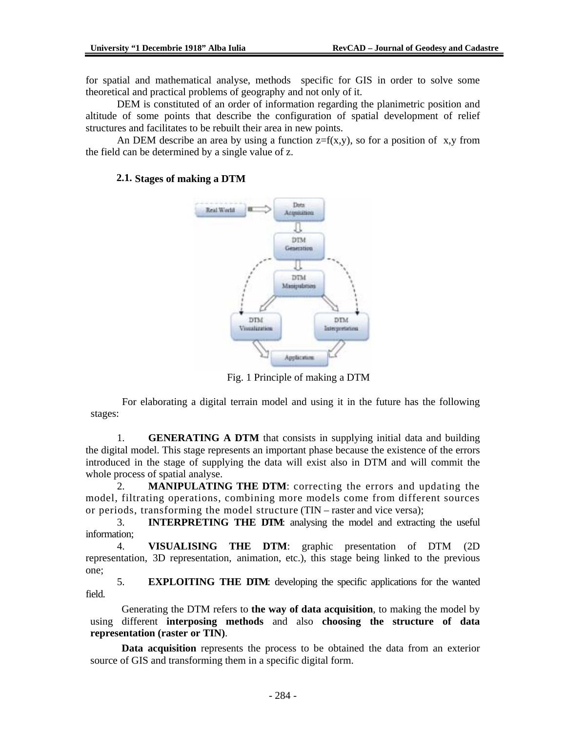for spatial and mathematical analyse, methods specific for GIS in order to solve some theoretical and practical problems of geography and not only of it.

DEM is constituted of an order of information regarding the planimetric position and altitude of some points that describe the configuration of spatial development of relief structures and facilitates to be rebuilt their area in new points.

An DEM describe an area by using a function  $z=f(x,y)$ , so for a position of x,y from the field can be determined by a single value of z.



## **2.1. Stages of making a DTM**

Fig. 1 Principle of making a DTM

For elaborating a digital terrain model and using it in the future has the following stages:

1. **GENERATING A DTM** that consists in supplying initial data and building the digital model. This stage represents an important phase because the existence of the errors introduced in the stage of supplying the data will exist also in DTM and will commit the whole process of spatial analyse.

2. **MANIPULATING THE DTM**: correcting the errors and updating the model, filtrating operations, combining more models come from different sources or periods, transforming the model structure (TIN – raster and vice versa);

3. **INTERPRETING THE DTM**: analysing the model and extracting the useful information;

4. **VISUALISING THE DTM**: graphic presentation of DTM (2D representation, 3D representation, animation, etc.), this stage being linked to the previous one;

5. **EXPLOITING THE DTM**: developing the specific applications for the wanted field.

Generating the DTM refers to **the way of data acquisition**, to making the model by using different **interposing methods** and also **choosing the structure of data representation (raster or TIN)**.

**Data acquisition** represents the process to be obtained the data from an exterior source of GIS and transforming them in a specific digital form.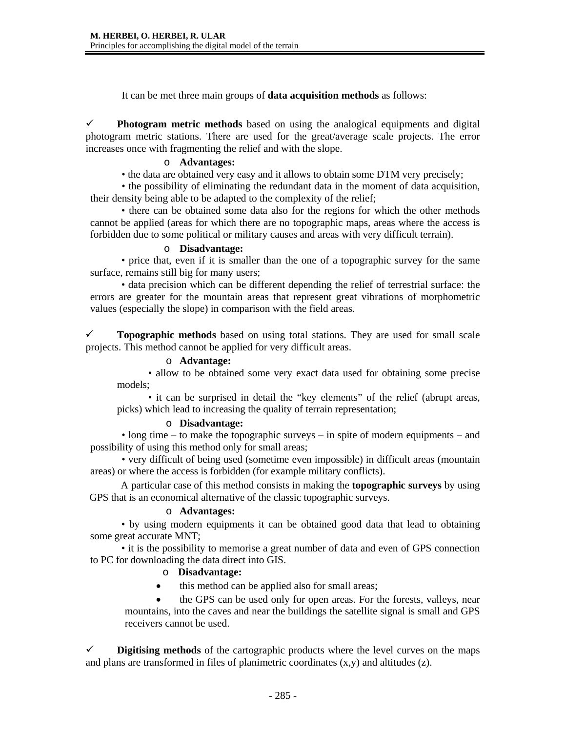It can be met three main groups of **data acquisition methods** as follows:

 $\checkmark$  Photogram metric methods based on using the analogical equipments and digital photogram metric stations. There are used for the great/average scale projects. The error increases once with fragmenting the relief and with the slope.

### o **Advantages:**

• the data are obtained very easy and it allows to obtain some DTM very precisely;

• the possibility of eliminating the redundant data in the moment of data acquisition, their density being able to be adapted to the complexity of the relief;

• there can be obtained some data also for the regions for which the other methods cannot be applied (areas for which there are no topographic maps, areas where the access is forbidden due to some political or military causes and areas with very difficult terrain).

#### o **Disadvantage:**

• price that, even if it is smaller than the one of a topographic survey for the same surface, remains still big for many users;

• data precision which can be different depending the relief of terrestrial surface: the errors are greater for the mountain areas that represent great vibrations of morphometric values (especially the slope) in comparison with the field areas.

 $\checkmark$  **Topographic methods** based on using total stations. They are used for small scale projects. This method cannot be applied for very difficult areas.

#### o **Advantage:**

• allow to be obtained some very exact data used for obtaining some precise models;

• it can be surprised in detail the "key elements" of the relief (abrupt areas, picks) which lead to increasing the quality of terrain representation;

#### o **Disadvantage:**

• long time – to make the topographic surveys – in spite of modern equipments – and possibility of using this method only for small areas;

• very difficult of being used (sometime even impossible) in difficult areas (mountain areas) or where the access is forbidden (for example military conflicts).

A particular case of this method consists in making the **topographic surveys** by using GPS that is an economical alternative of the classic topographic surveys.

### o **Advantages:**

• by using modern equipments it can be obtained good data that lead to obtaining some great accurate MNT;

• it is the possibility to memorise a great number of data and even of GPS connection to PC for downloading the data direct into GIS.

### o **Disadvantage:**

this method can be applied also for small areas;

• the GPS can be used only for open areas. For the forests, valleys, near mountains, into the caves and near the buildings the satellite signal is small and GPS receivers cannot be used.

 $\checkmark$  **Digitising methods** of the cartographic products where the level curves on the maps and plans are transformed in files of planimetric coordinates  $(x,y)$  and altitudes  $(z)$ .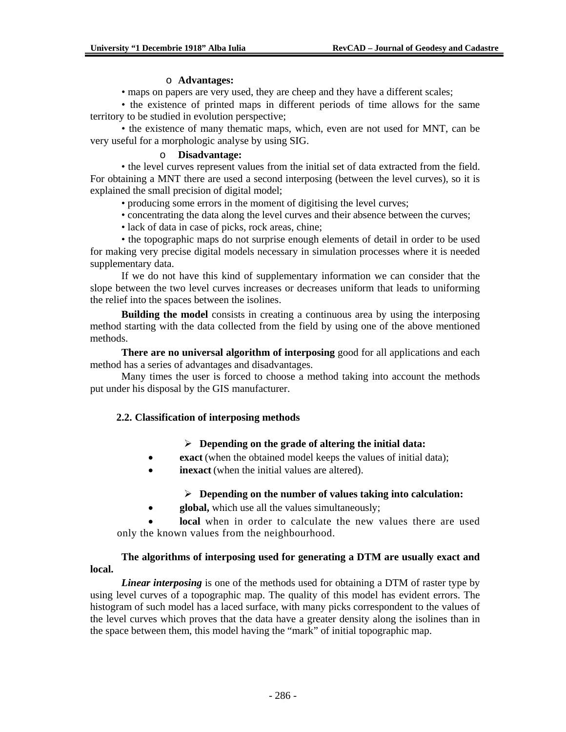#### o **Advantages:**

• maps on papers are very used, they are cheep and they have a different scales;

• the existence of printed maps in different periods of time allows for the same territory to be studied in evolution perspective;

• the existence of many thematic maps, which, even are not used for MNT, can be very useful for a morphologic analyse by using SIG.

#### o **Disadvantage:**

• the level curves represent values from the initial set of data extracted from the field. For obtaining a MNT there are used a second interposing (between the level curves), so it is explained the small precision of digital model;

• producing some errors in the moment of digitising the level curves;

• concentrating the data along the level curves and their absence between the curves;

• lack of data in case of picks, rock areas, chine;

• the topographic maps do not surprise enough elements of detail in order to be used for making very precise digital models necessary in simulation processes where it is needed supplementary data.

If we do not have this kind of supplementary information we can consider that the slope between the two level curves increases or decreases uniform that leads to uniforming the relief into the spaces between the isolines.

**Building the model** consists in creating a continuous area by using the interposing method starting with the data collected from the field by using one of the above mentioned methods.

**There are no universal algorithm of interposing** good for all applications and each method has a series of advantages and disadvantages.

Many times the user is forced to choose a method taking into account the methods put under his disposal by the GIS manufacturer.

### **2.2. Classification of interposing methods**

### ¾ **Depending on the grade of altering the initial data:**

- **exact** (when the obtained model keeps the values of initial data);
- **inexact** (when the initial values are altered).

### ¾ **Depending on the number of values taking into calculation:**

• **global,** which use all the values simultaneously;

**local** when in order to calculate the new values there are used only the known values from the neighbourhood.

## **The algorithms of interposing used for generating a DTM are usually exact and local.**

*Linear interposing* is one of the methods used for obtaining a DTM of raster type by using level curves of a topographic map. The quality of this model has evident errors. The histogram of such model has a laced surface, with many picks correspondent to the values of the level curves which proves that the data have a greater density along the isolines than in the space between them, this model having the "mark" of initial topographic map.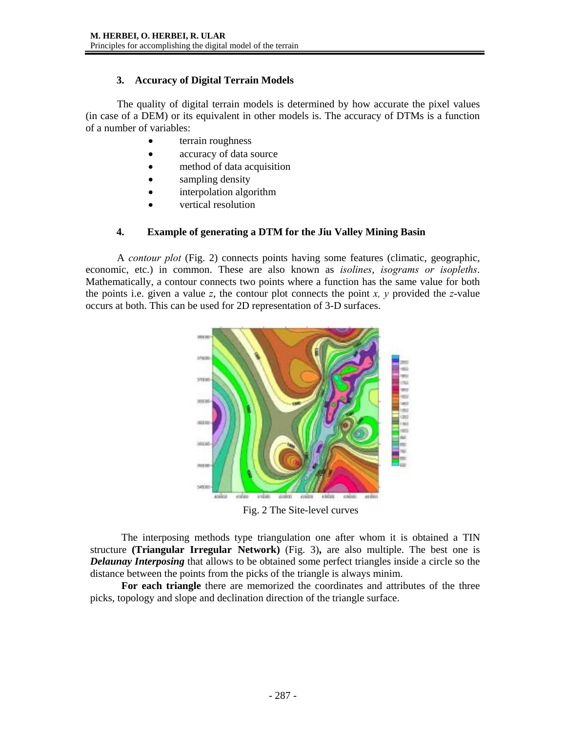## **3. Accuracy of Digital Terrain Models**

The quality of digital terrain models is determined by how accurate the pixel values (in case of a DEM) or its equivalent in other models is. The accuracy of DTMs is a function of a number of variables:

- terrain roughness
- accuracy of data source
- method of data acquisition
- sampling density
- interpolation algorithm
- vertical resolution

## **4. Example of generating a DTM for the Jiu Valley Mining Basin**

A *contour plot* (Fig. 2) connects points having some features (climatic, geographic, economic, etc.) in common. These are also known as *isolines*, *isograms or isopleths*. Mathematically, a contour connects two points where a function has the same value for both the points i.e. given a value *z*, the contour plot connects the point *x, y* provided the *z*-value occurs at both. This can be used for 2D representation of 3-D surfaces.



Fig. 2 The Site-level curves

The interposing methods type triangulation one after whom it is obtained a TIN structure **(Triangular Irregular Network)** (Fig. 3)**,** are also multiple. The best one is *Delaunay Interposing* that allows to be obtained some perfect triangles inside a circle so the distance between the points from the picks of the triangle is always minim.

**For each triangle** there are memorized the coordinates and attributes of the three picks, topology and slope and declination direction of the triangle surface.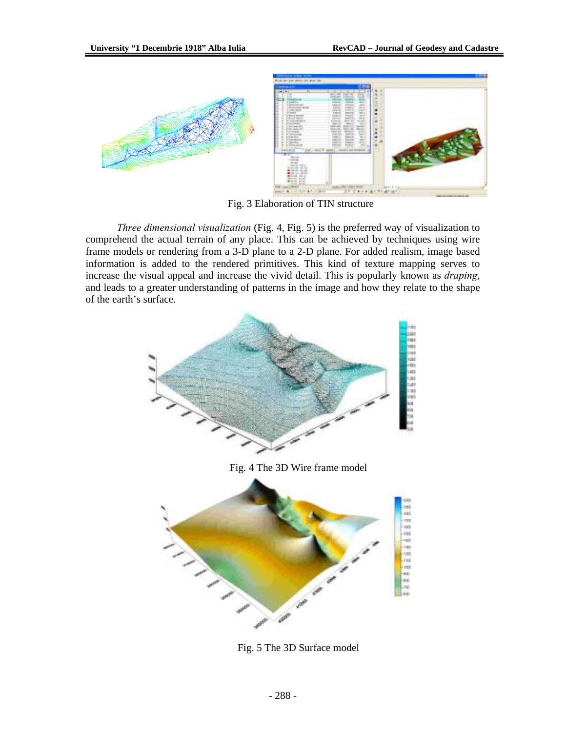

Fig. 3 Elaboration of TIN structure

*Three dimensional visualization* (Fig. 4, Fig. 5) is the preferred way of visualization to comprehend the actual terrain of any place. This can be achieved by techniques using wire frame models or rendering from a 3-D plane to a 2-D plane. For added realism, image based information is added to the rendered primitives. This kind of texture mapping serves to increase the visual appeal and increase the vivid detail. This is popularly known as *draping*, and leads to a greater understanding of patterns in the image and how they relate to the shape of the earth's surface.



Fig. 5 The 3D Surface model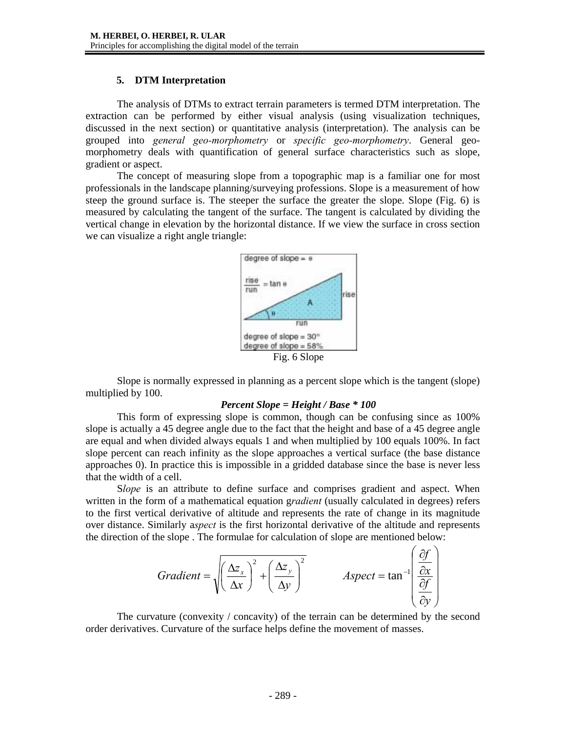## **5. DTM Interpretation**

The analysis of DTMs to extract terrain parameters is termed DTM interpretation. The extraction can be performed by either visual analysis (using visualization techniques, discussed in the next section) or quantitative analysis (interpretation). The analysis can be grouped into *general geo-morphometry* or *specific geo-morphometry*. General geomorphometry deals with quantification of general surface characteristics such as slope, gradient or aspect.

The concept of measuring slope from a topographic map is a familiar one for most professionals in the landscape planning/surveying professions. Slope is a measurement of how steep the ground surface is. The steeper the surface the greater the slope. Slope (Fig. 6) is measured by calculating the tangent of the surface. The tangent is calculated by dividing the vertical change in elevation by the horizontal distance. If we view the surface in cross section we can visualize a right angle triangle:



Slope is normally expressed in planning as a percent slope which is the tangent (slope) multiplied by 100.

### *Percent Slope = Height / Base \* 100*

This form of expressing slope is common, though can be confusing since as 100% slope is actually a 45 degree angle due to the fact that the height and base of a 45 degree angle are equal and when divided always equals 1 and when multiplied by 100 equals 100%. In fact slope percent can reach infinity as the slope approaches a vertical surface (the base distance approaches 0). In practice this is impossible in a gridded database since the base is never less that the width of a cell.

S*lope* is an attribute to define surface and comprises gradient and aspect. When written in the form of a mathematical equation g*radient* (usually calculated in degrees) refers to the first vertical derivative of altitude and represents the rate of change in its magnitude over distance. Similarly a*spect* is the first horizontal derivative of the altitude and represents the direction of the slope . The formulae for calculation of slope are mentioned below:

Gradient = 
$$
\sqrt{\left(\frac{\Delta z_x}{\Delta x}\right)^2 + \left(\frac{\Delta z_y}{\Delta y}\right)^2}
$$
   
Aspect = tan<sup>-1</sup> $\left(\frac{\frac{\partial f}{\partial x}}{\frac{\partial f}{\partial y}}\right)$ 

The curvature (convexity / concavity) of the terrain can be determined by the second order derivatives. Curvature of the surface helps define the movement of masses.